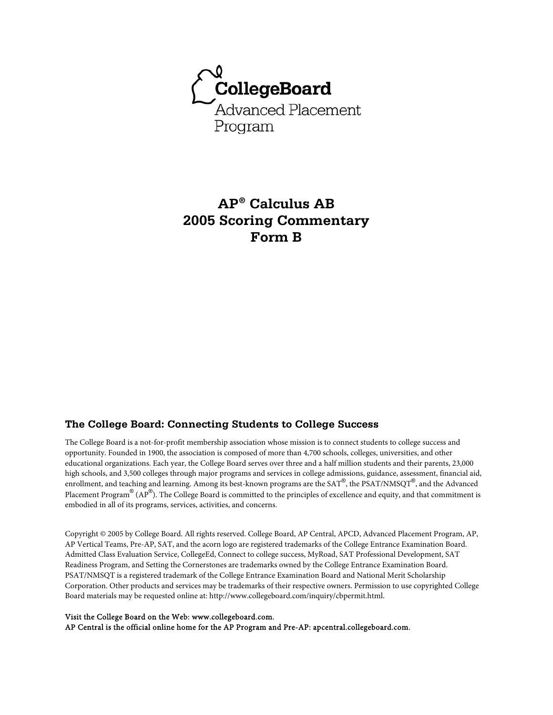

# **AP® Calculus AB 2005 Scoring Commentary Form B**

## **The College Board: Connecting Students to College Success**

The College Board is a not-for-profit membership association whose mission is to connect students to college success and opportunity. Founded in 1900, the association is composed of more than 4,700 schools, colleges, universities, and other educational organizations. Each year, the College Board serves over three and a half million students and their parents, 23,000 high schools, and 3,500 colleges through major programs and services in college admissions, guidance, assessment, financial aid, enrollment, and teaching and learning. Among its best-known programs are the SAT®, the PSAT/NMSQT®, and the Advanced Placement Program® (AP®). The College Board is committed to the principles of excellence and equity, and that commitment is embodied in all of its programs, services, activities, and concerns.

Copyright © 2005 by College Board. All rights reserved. College Board, AP Central, APCD, Advanced Placement Program, AP, AP Vertical Teams, Pre-AP, SAT, and the acorn logo are registered trademarks of the College Entrance Examination Board. Admitted Class Evaluation Service, CollegeEd, Connect to college success, MyRoad, SAT Professional Development, SAT Readiness Program, and Setting the Cornerstones are trademarks owned by the College Entrance Examination Board. PSAT/NMSQT is a registered trademark of the College Entrance Examination Board and National Merit Scholarship Corporation. Other products and services may be trademarks of their respective owners. Permission to use copyrighted College Board materials may be requested online at: http://www.collegeboard.com/inquiry/cbpermit.html.

#### Visit the College Board on the Web: www.collegeboard.com.

AP Central is the official online home for the AP Program and Pre-AP: apcentral.collegeboard.com.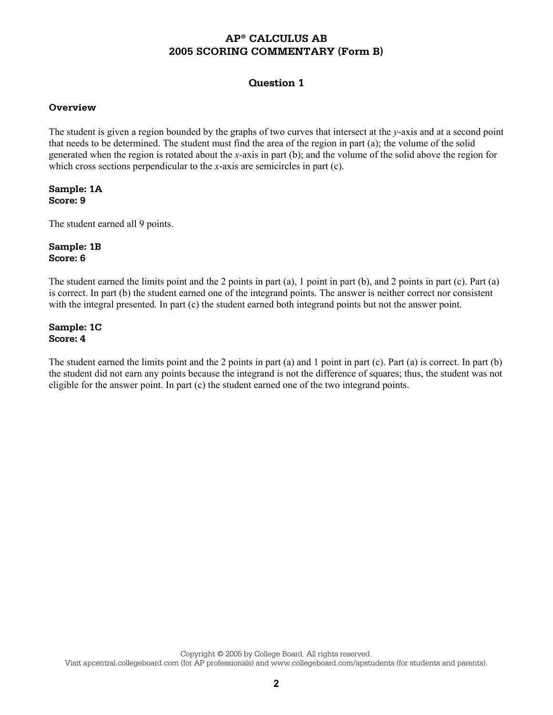### **Question 1**

### **Overview**

The student is given a region bounded by the graphs of two curves that intersect at the *y*-axis and at a second point that needs to be determined. The student must find the area of the region in part (a); the volume of the solid generated when the region is rotated about the *x*-axis in part (b); and the volume of the solid above the region for which cross sections perpendicular to the *x*-axis are semicircles in part (c).

### **Sample: 1A Score: 9**

The student earned all 9 points.

### **Sample: 1B Score: 6**

The student earned the limits point and the 2 points in part (a), 1 point in part (b), and 2 points in part (c). Part (a) is correct. In part (b) the student earned one of the integrand points. The answer is neither correct nor consistent with the integral presented. In part (c) the student earned both integrand points but not the answer point.

#### **Sample: 1C Score: 4**

The student earned the limits point and the 2 points in part (a) and 1 point in part (c). Part (a) is correct. In part (b) the student did not earn any points because the integrand is not the difference of squares; thus, the student was not eligible for the answer point. In part (c) the student earned one of the two integrand points.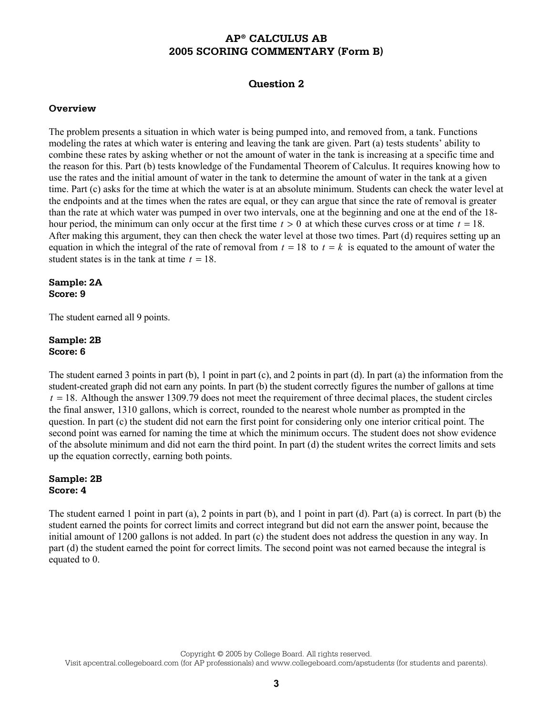### **Question 2**

#### **Overview**

The problem presents a situation in which water is being pumped into, and removed from, a tank. Functions modeling the rates at which water is entering and leaving the tank are given. Part (a) tests students' ability to combine these rates by asking whether or not the amount of water in the tank is increasing at a specific time and the reason for this. Part (b) tests knowledge of the Fundamental Theorem of Calculus. It requires knowing how to use the rates and the initial amount of water in the tank to determine the amount of water in the tank at a given time. Part (c) asks for the time at which the water is at an absolute minimum. Students can check the water level at the endpoints and at the times when the rates are equal, or they can argue that since the rate of removal is greater than the rate at which water was pumped in over two intervals, one at the beginning and one at the end of the 18 hour period, the minimum can only occur at the first time  $t > 0$  at which these curves cross or at time  $t = 18$ . After making this argument, they can then check the water level at those two times. Part (d) requires setting up an equation in which the integral of the rate of removal from  $t = 18$  to  $t = k$  is equated to the amount of water the student states is in the tank at time  $t = 18$ .

#### **Sample: 2A Score: 9**

The student earned all 9 points.

### **Sample: 2B Score: 6**

The student earned 3 points in part (b), 1 point in part (c), and 2 points in part (d). In part (a) the information from the student-created graph did not earn any points. In part (b) the student correctly figures the number of gallons at time  $t = 18$ . Although the answer 1309.79 does not meet the requirement of three decimal places, the student circles the final answer, 1310 gallons, which is correct, rounded to the nearest whole number as prompted in the question. In part (c) the student did not earn the first point for considering only one interior critical point. The second point was earned for naming the time at which the minimum occurs. The student does not show evidence of the absolute minimum and did not earn the third point. In part (d) the student writes the correct limits and sets up the equation correctly, earning both points.

### **Sample: 2B Score: 4**

The student earned 1 point in part (a), 2 points in part (b), and 1 point in part (d). Part (a) is correct. In part (b) the student earned the points for correct limits and correct integrand but did not earn the answer point, because the initial amount of 1200 gallons is not added. In part (c) the student does not address the question in any way. In part (d) the student earned the point for correct limits. The second point was not earned because the integral is equated to 0.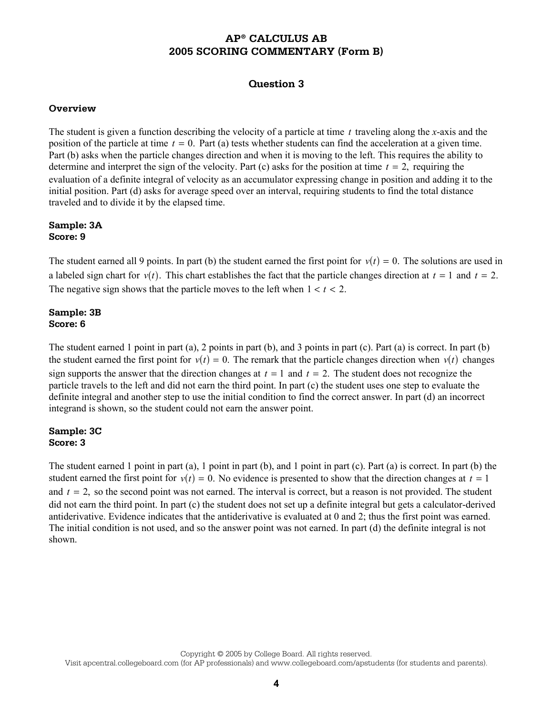### **Question 3**

### **Overview**

The student is given a function describing the velocity of a particle at time *t* traveling along the *x*-axis and the position of the particle at time  $t = 0$ . Part (a) tests whether students can find the acceleration at a given time. Part (b) asks when the particle changes direction and when it is moving to the left. This requires the ability to determine and interpret the sign of the velocity. Part (c) asks for the position at time  $t = 2$ , requiring the evaluation of a definite integral of velocity as an accumulator expressing change in position and adding it to the initial position. Part (d) asks for average speed over an interval, requiring students to find the total distance traveled and to divide it by the elapsed time.

### **Sample: 3A Score: 9**

The student earned all 9 points. In part (b) the student earned the first point for  $v(t) = 0$ . The solutions are used in a labeled sign chart for  $v(t)$ . This chart establishes the fact that the particle changes direction at  $t = 1$  and  $t = 2$ . The negative sign shows that the particle moves to the left when  $1 < t < 2$ .

### **Sample: 3B Score: 6**

The student earned 1 point in part (a), 2 points in part (b), and 3 points in part (c). Part (a) is correct. In part (b) the student earned the first point for  $v(t) = 0$ . The remark that the particle changes direction when  $v(t)$  changes sign supports the answer that the direction changes at  $t = 1$  and  $t = 2$ . The student does not recognize the particle travels to the left and did not earn the third point. In part (c) the student uses one step to evaluate the definite integral and another step to use the initial condition to find the correct answer. In part (d) an incorrect integrand is shown, so the student could not earn the answer point.

#### **Sample: 3C Score: 3**

The student earned 1 point in part  $(a)$ , 1 point in part  $(b)$ , and 1 point in part  $(c)$ . Part  $(a)$  is correct. In part  $(b)$  the student earned the first point for  $v(t) = 0$ . No evidence is presented to show that the direction changes at  $t = 1$ and  $t = 2$ , so the second point was not earned. The interval is correct, but a reason is not provided. The student did not earn the third point. In part (c) the student does not set up a definite integral but gets a calculator-derived antiderivative. Evidence indicates that the antiderivative is evaluated at 0 and 2; thus the first point was earned. The initial condition is not used, and so the answer point was not earned. In part (d) the definite integral is not shown.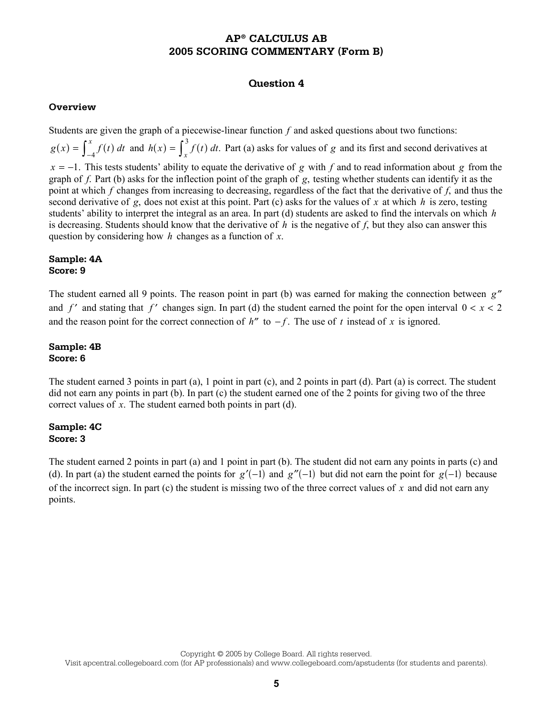### **Question 4**

#### **Overview**

Students are given the graph of a piecewise-linear function *f* and asked questions about two functions:  $g(x) = \int_{-4}^{x} f(t) dt$  and  $h(x) = \int_{x}^{3} f(t) dt$ . Part (a) asks for values of *g* and its first and second derivatives at *x* = −1. This tests students' ability to equate the derivative of *g* with *f* and to read information about *g* from the graph of *f*. Part (b) asks for the inflection point of the graph of *g*, testing whether students can identify it as the point at which *f* changes from increasing to decreasing, regardless of the fact that the derivative of *f*, and thus the second derivative of *g*, does not exist at this point. Part (c) asks for the values of *x* at which *h* is zero, testing students' ability to interpret the integral as an area. In part (d) students are asked to find the intervals on which *h* is decreasing. Students should know that the derivative of *h* is the negative of *f*, but they also can answer this question by considering how *h* changes as a function of *x*.

### **Sample: 4A Score: 9**

The student earned all 9 points. The reason point in part (b) was earned for making the connection between *g*′′ and  $f'$  and stating that  $f'$  changes sign. In part (d) the student earned the point for the open interval  $0 < x < 2$ and the reason point for the correct connection of  $h''$  to  $-f$ . The use of t instead of x is ignored.

### **Sample: 4B Score: 6**

The student earned 3 points in part (a), 1 point in part (c), and 2 points in part (d). Part (a) is correct. The student did not earn any points in part (b). In part (c) the student earned one of the 2 points for giving two of the three correct values of *x*. The student earned both points in part (d).

### **Sample: 4C Score: 3**

The student earned 2 points in part (a) and 1 point in part (b). The student did not earn any points in parts (c) and (d). In part (a) the student earned the points for  $g'(-1)$  and  $g''(-1)$  but did not earn the point for  $g(-1)$  because of the incorrect sign. In part (c) the student is missing two of the three correct values of *x* and did not earn any points.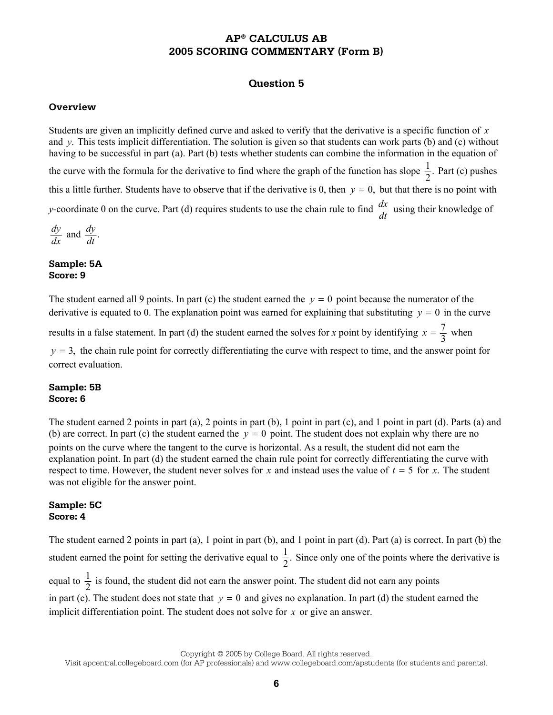### **Question 5**

#### **Overview**

Students are given an implicitly defined curve and asked to verify that the derivative is a specific function of *x* and *y*. This tests implicit differentiation. The solution is given so that students can work parts (b) and (c) without having to be successful in part (a). Part (b) tests whether students can combine the information in the equation of the curve with the formula for the derivative to find where the graph of the function has slope  $\frac{1}{2}$ . Part (c) pushes this a little further. Students have to observe that if the derivative is 0, then  $y = 0$ , but that there is no point with *y*-coordinate 0 on the curve. Part (d) requires students to use the chain rule to find  $\frac{dx}{dt}$  using their knowledge of

$$
\frac{dy}{dx} \text{ and } \frac{dy}{dt}.
$$

#### **Sample: 5A Score: 9**

The student earned all 9 points. In part (c) the student earned the  $v = 0$  point because the numerator of the derivative is equated to 0. The explanation point was earned for explaining that substituting  $y = 0$  in the curve

results in a false statement. In part (d) the student earned the solves for *x* point by identifying  $x = \frac{7}{3}$  when

 $y = 3$ , the chain rule point for correctly differentiating the curve with respect to time, and the answer point for correct evaluation.

#### **Sample: 5B Score: 6**

The student earned 2 points in part (a), 2 points in part (b), 1 point in part (c), and 1 point in part (d). Parts (a) and (b) are correct. In part (c) the student earned the  $v = 0$  point. The student does not explain why there are no points on the curve where the tangent to the curve is horizontal. As a result, the student did not earn the explanation point. In part (d) the student earned the chain rule point for correctly differentiating the curve with respect to time. However, the student never solves for *x* and instead uses the value of  $t = 5$  for *x*. The student was not eligible for the answer point.

### **Sample: 5C Score: 4**

The student earned 2 points in part (a), 1 point in part (b), and 1 point in part (d). Part (a) is correct. In part (b) the student earned the point for setting the derivative equal to  $\frac{1}{2}$ . Since only one of the points where the derivative is equal to  $\frac{1}{2}$  is found, the student did not earn the answer point. The student did not earn any points in part (c). The student does not state that  $y = 0$  and gives no explanation. In part (d) the student earned the

implicit differentiation point. The student does not solve for *x* or give an answer.

Copyright © 2005 by College Board. All rights reserved.

Visit apcentral.collegeboard.com (for AP professionals) and www.collegeboard.com/apstudents (for students and parents).